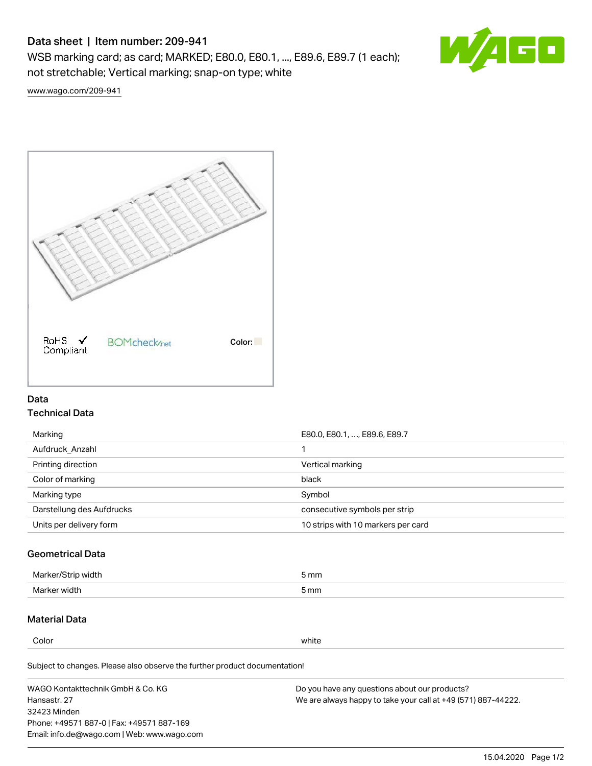# Data sheet | Item number: 209-941

WSB marking card; as card; MARKED; E80.0, E80.1, ..., E89.6, E89.7 (1 each); not stretchable; Vertical marking; snap-on type; white



[www.wago.com/209-941](http://www.wago.com/209-941)



## Data Technical Data

| Marking                   | E80.0, E80.1, , E89.6, E89.7       |
|---------------------------|------------------------------------|
| Aufdruck Anzahl           |                                    |
| Printing direction        | Vertical marking                   |
| Color of marking          | black                              |
| Marking type              | Symbol                             |
| Darstellung des Aufdrucks | consecutive symbols per strip      |
| Units per delivery form   | 10 strips with 10 markers per card |

## Geometrical Data

| طلقاء ئ<br><b>Marker</b><br>widtr | ັກmm |
|-----------------------------------|------|
| Marker width                      | 5 mm |

# Material Data

Color white

Subject to changes. Please also observe the further product documentation!

WAGO Kontakttechnik GmbH & Co. KG Hansastr. 27 32423 Minden Phone: +49571 887-0 | Fax: +49571 887-169 Email: info.de@wago.com | Web: www.wago.com Do you have any questions about our products? We are always happy to take your call at +49 (571) 887-44222.